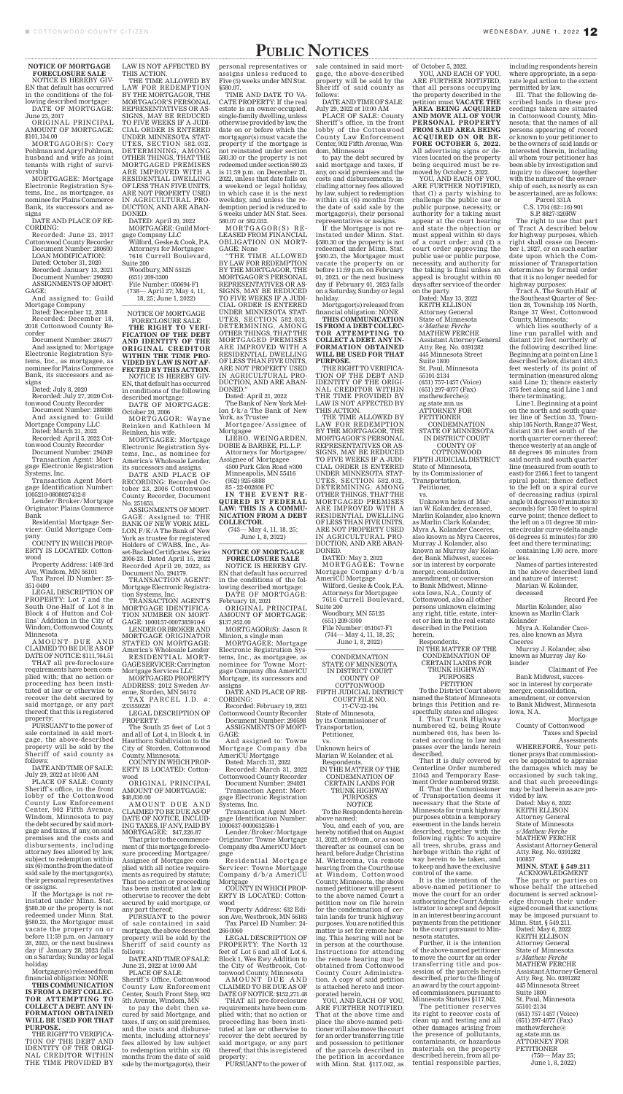## PUBLIC NOTICES

**NOTICE OF MORTGAGE FORECLOSURE SALE** 

NOTICE IS HEREBY GIV-EN that default has occurred in the conditions of the following described mortgage: DATE OF MORTGAGE:

June 23, 2017 ORIGINAL PRINCIPAL

AMOUNT OF MORTGAGE: \$101,134.00

MORTGAGOR(S): Cory Pohlman and Apryl Pohlman, husband and wife as joint tenants with right of survivorship

MORTGAGEE: Mortgage Electronic Registration Systems, Inc., as mortgagee, as nominee for Plains Commerce Bank, its successors and assigns

DATE AND PLACE OF RE-CORDING:

Recorded: June 23, 2017 Cottonwood County Recorder Document Number: 280600 LOAN MODIFICATION: Dated: October 31, 2020 Recorded: January 13, 2021 Document Number: 290280 ASSIGNMENTS OF MORT-GAGE:

And assigned to: Guild Mortgage Company

Dated: December 12, 2018 Recorded: December 18, 2018 Cottonwood County Recorder

AMOUNT DUE AND CLAIMED TO BE DUE AS OF DATE OF NOTICE: \$111,764.51

Document Number: 284677 And assigned to: Mortgage Electronic Registration Systems, Inc., as mortgagee, as nominee for Plains Commerce Bank, its successors and assigns

Dated: July 8, 2020 Recorded: July 27, 2020 Cot-

tonwood County Recorder Document Number: 288886 And assigned to: Guild

Mortgage Company LLC Dated: March 21, 2022

Recorded: April 5, 2022 Cottonwood County Recorder Document Number: 294049

Transaction Agent: Mortgage Electronic Registration Systems, Inc.

Transaction Agent Mortgage Identification Number: 1005210-0808027432-8

Lender/Broker/Mortgage Originator: Plains Commerce Bank

Residential Mortgage Servicer: Guild Mortgage Company

COUNTY IN WHICH PROP-ERTY IS LOCATED: Cottonwood

Property Address: 1409 3rd Ave, Windom, MN 56101

Tax Parcel ID Number: 25- 351-0400

LEGAL DESCRIPTION OF PROPERTY: Lot 7 and the South One-Half of Lot 8 in Block 4 of Hutton and Collins` Addition in the City of Windom, Cottonwood County,

Minnesota

THAT all pre-foreclosure requirements have been complied with; that no action or proceeding has been instituted at law or otherwise to recover the debt secured by said mortgage, or any part thereof; that this is registered property;

PURSUANT to the power of sale contained in said mortgage, the above-described property will be sold by the Sheriff of said county as follows:

DATE AND TIME OF SALE: July 29, 2022 at 10:00 AM

PLACE OF SALE: County Sheriff`s office, in the front lobby of the Cottonwood County Law Enforcement Center, 902 Fifth Avenue, Windom, Minnesota to pay the debt secured by said mortgage and taxes, if any, on said premises and the costs and disbursements, including attorney fees allowed by law, subject to redemption within six (6) months from the date of said sale by the mortgagor(s), their personal representatives or assigns.

TAX PARCEL I.D. #: 233550220

AMOUNT DUE AND CLAIMED TO BE DUE AS OF DATE OF NOTICE, INCLUD-ING TAXES, IF ANY, PAID BY MORTGAGEE: \$47,226.87

If the Mortgage is not reinstated under Minn. Stat. §580.30 or the property is not redeemed under Minn. Stat. §580.23, the Mortgagor must vacate the property on or before 11:59 p.m. on January 28, 2023, or the next business day if January 28, 2023 falls on a Saturday, Sunday or legal holiday.

Mortgagor(s) released from financial obligation: NONE

**THIS COMMUNICATION IS FROM A DEBT COLLEC-TOR ATTEMPTING TO COLLECT A DEBT. ANY IN-FORMATION OBTAINED WILL BE USED FOR THAT PURPOSE.** 

THE RIGHT TO VERIFICA-TION OF THE DEBT AND IDENTITY OF THE ORIGI-NAL CREDITOR WITHIN THE TIME PROVIDED BY LAW IS NOT AFFECTED BY THIS ACTION. THE TIME ALLOWED BY

REPRESENTATIVES OR AS-SIGNS, MAY BE REDUCED TO FIVE WEEKS IF A JUDI-CIAL ORDER IS ENTERED UNDER MINNESOTA STAT-UTES, SECTION 582.032, DETERMINING, AMONG OTHER THINGS, THAT THE MORTGAGED PREMISES ARE IMPROVED WITH A RESIDENTIAL DWELLING OF LESS THAN FIVE UNITS, ARE NOT PROPERTY USED IN AGRICULTURAL PRO-DUCTION, AND ARE ABAN-

DONED.

DATED: April 20, 2022 MORTGAGEE: Guild Mort-

gage Company LLC

Wilford, Geske & Cook, P.A. Attorneys for Mortgagee 7616 Currell Boulevard,

Suite 200

Woodbury, MN 55125 (651) 209-3300

File Number: 050694-F1 (738— April 27; May 4, 11, 18, 25; June 1, 2022) \_\_\_\_\_\_\_\_\_\_\_\_\_\_\_\_\_\_\_\_\_\_\_\_\_\_\_\_

# (743— May 4, 11, 18, 25; June 1, 8, 2022)

NOTICE OF MORTGAGE FORECLOSURE SALE **THE RIGHT TO VERI-FICATION OF THE DEBT AND IDENTITY OF THE ORIGINAL CREDITOR WITHIN THE TIME PRO-VIDED BY LAW IS NOT AF-FECTED BY THIS ACTION.** NOTICE IS HEREBY GIV-

Reinken, his wife. MORTGAGEE: Mortgage Electronic Registration Systems, Inc., as nominee for America's Wholesale Lender, its successors and assigns.

> Residential Mortgage Servicer: Towne Mortgage Company d/b/a AmeriCU Mortgage

DATE AND PLACE OF RECORDING: Recorded October 23, 2006 Cottonwood County Recorder, Document No. 251653.

> AMOUNT DUE AND CLAIMED TO BE DUE AS OF DATE OF NOTICE: \$152,271.48

ASSIGNMENTS OF MORT-GAGE: Assigned to: THE BANK OF NEW YORK MEL-LON, F/K/A The Bank of New York as trustee for registered Holders of CWABS, Inc., Asset-Backed Certificates, Series 2006-23. Dated April 15, 2022 Recorded April 20, 2022, as Document No. 294179.

TRANSACTION AGENT: Mortgage Electronic Registration Systems, Inc.

TRANSACTION AGENT'S MORTGAGE IDENTIFICA-TION NUMBER ON MORT-GAGE: 1000157-0007385910-6

LAW FOR REDEMPTION BY THE MORTGAGOR, THE MORTGAGOR'S PERSONAL assigns unless reduced to Five (5) weeks under MN Stat. §580.07. TIME AND DATE TO VA-

LENDER OR BROKER AND MORTGAGE ORIGINATOR Minion, a single man STATED ON MORTGAGE: America's Wholesale Lender RESIDENTIAL MORT-GAGE SERVICER: Carrington Mortgage Services LLC

MORTGAGED PROPERTY ADDRESS: 2012 Sweden Avenue, Storden, MN 56174

LEGAL DESCRIPTION OF PROPERTY:

The South 25 feet of Lot 5 and all of Lot 4, in Block 4, in Hawthorn Subdivision to the City of Storden, Cottonwood County, Minnesota.

COUNTY IN WHICH PROP-ERTY IS LOCATED: Cottonwood

ORIGINAL PRINCIPAL AMOUNT OF MORTGAGE: \$48,830.00

(744— May 4, 11, 18, 25; June 1, 8, 2022)

That prior to the commencement of this mortgage foreclosure proceeding Mortgagee/ Assignee of Mortgagee complied with all notice requirements as required by statute; That no action or proceeding has been instituted at law or otherwise to recover the debt secured by said mortgage, or any part thereof;

**CONDEMNATION** STATE OF MINNESOTA IN DISTRICT COURT COUNTY OF COTTONWOOD FIFTH JUDICIAL DISTRICT COURT FILE NO. 17-CV-22-194 State of Minnesota, by its Commissioner of Transportation, Petitioner, vs. Unknown heirs of

Marian W. Kolander, et al. Respondents. IN THE MATTER OF THE CONDEMNATION OF CERTAIN LANDS FOR TRUNK HIGHWAY PURPOSES **NOTICE** 

EN, that default has occurred in conditions of the following described mortgage: DATE OF MORTGAGE: October 20, 2006 MORTGAGOR: Wayne Reinken and Kathleen M DONED."

PURSUANT to the power of sale contained in said mortgage, the above described property will be sold by the Sheriff of said county as follows:

DATE AND TIME OF SALE: June 21, 2022 at 10:00 AM

PLACE OF SALE: Sheriff 's Office, Cottonwood County Law Enforcement Center, South Front Step, 902 5th Avenue, Windom, MN

to pay the debt then secured by said Mortgage, and taxes, if any, on said premises, and the costs and disbursements, including attorneys' fees allowed by law subject to redemption within six (6) months from the date of said sale by the mortgagor(s), their

CATE PROPERTY: If the real estate is an owner-occupied, single-family dwelling, unless otherwise provided by law, the date on or before which the mortgagor(s) must vacate the property if the mortgage is not reinstated under section 580.30 or the property is not redeemed under section 580.23 is 11:59 p.m. on December 21, 2022, unless that date falls on a weekend or legal holiday, in which case it is the next weekday, and unless the redemption period is reduced to 5 weeks under MN Stat. Secs. 580.07 or 582.032.

MORTGAGOR(S) RE - LEASED FROM FINANCIAL OBLIGATION ON MORT-GAGE: None

> herein, Respondents. IN THE MATTER OF THE CONDEMNATION OF CERTAIN LANDS FOR TRUNK HIGHWAY PURPOSES **PETITION**

"THE TIME ALLOWED BY LAW FOR REDEMPTION BY THE MORTGAGOR, THE MORTGAGOR'S PERSONAL REPRESENTATIVES OR AS-SIGNS, MAY BE REDUCED TO FIVE WEEKS IF A JUDI-CIAL ORDER IS ENTERED UNDER MINNESOTA STAT-UTES, SECTION 582.032, DETERMINING, AMONG OTHER THINGS, THAT THE MORTGAGED PREMISES ARE IMPROVED WITH A RESIDENTIAL DWELLING OF LESS THAN FIVE UNITS, ARE NOT PROPERTY USED IN AGRICULTURAL PRO-DUCTION, AND ARE ABAN-

Dated: April 21, 2022

The Bank of New York Mellon f/k/a The Bank of New York, as Trustee

Mortgagee/Assignee of Mortgagee

LIEBO, WEINGARDEN, DOBIE & BARBEE, P.L.L.P. Attorneys for Mortgagee/

Assignee of Mortgagee 4500 Park Glen Road #300

Minneapolis, MN 55416

(952) 925-6888 85 - 22-002606 FC **IN THE EVENT RE-**

**QUIRED BY FEDERAL LAW: THIS IS A COMMU-NICATION FROM A DEBT** 

**COLLECTOR.**

**NOTICE OF MORTGAGE** 

### **FORECLOSURE SALE**

NOTICE IS HEREBY GIV-EN that default has occurred in the conditions of the following described mortgage: DATE OF MORTGAGE:

personal representatives or sale contained in said mortgage, the above-described property will be sold by the Sheriff of said county as

February 18, 2021 ORIGINAL PRINCIPAL AMOUNT OF MORTGAGE:

\$137,952.00 MORTGAGOR(S): Jason R

MORTGAGEE: Mortgage Electronic Registration Systems, Inc., as mortgagee, as nominee for Towne Mortgage Company dba AmeriCU Mortgage, its successors and assigns

DATE AND PLACE OF RE-CORDING:

Recorded: February 19, 2021 Cottonwood County Recorder Document Number: 290598 ASSIGNMENTS OF MORT-GAGE:

And assigned to: Towne Mortgage Company dba AmeriCU Mortgage Dated: March 31, 2022

Recorded: March 31, 2022 Cottonwood County Recorder

Document Number: 294021 Transaction Agent: Mortgage Electronic Registration Systems, Inc.

Transaction Agent Mortgage Identification Number: 1000637-0000632586-1

Lender/Broker/Mortgage Originator: Towne Mortgage Company dba AmeriCU Mortgage

COUNTY IN WHICH PROP-ERTY IS LOCATED: Cottonwood

Property Address: 632 Edison Ave, Westbrook, MN 56183 Tax Parcel ID Number: 24- 266-0060

LEGAL DESCRIPTION OF PROPERTY: The North 12 feet of Lot 5 and all of Lot 6, Block 1, Wes Ewy Addition to the City of Westbrook, Cottonwood County, Minnesota

THAT all pre-foreclosure requirements have been complied with; that no action or proceeding has been instituted at law or otherwise to recover the debt secured by said mortgage, or any part thereof; that this is registered property;

PURSUANT to the power of

follows:

DATE AND TIME OF SALE: July 29, 2022 at 10:00 AM

PLACE OF SALE: County Sheriff 's office, in the front lobby of the Cottonwood County Law Enforcement Center, 902 Fifth Avenue, Windom, Minnesota

to pay the debt secured by said mortgage and taxes, if any, on said premises and the costs and disbursements, including attorney fees allowed by law, subject to redemption within six (6) months from the date of said sale by the mortgagor(s), their personal representatives or assigns.

If the Mortgage is not reinstated under Minn. Stat. §580.30 or the property is not redeemed under Minn. Stat. §580.23, the Mortgagor must vacate the property on or before 11:59 p.m. on February 01, 2023, or the next business day if February 01, 2023 falls on a Saturday, Sunday or legal holiday.

Mortgagor(s) released from financial obligation: NONE

**THIS COMMUNICATION IS FROM A DEBT COLLEC-TOR ATTEMPTING TO COLLECT A DEBT. ANY IN-FORMATION OBTAINED WILL BE USED FOR THAT PURPOSE.** 

THE RIGHT TO VERIFICA-TION OF THE DEBT AND IDENTITY OF THE ORIGI-NAL CREDITOR WITHIN THE TIME PROVIDED BY LAW IS NOT AFFECTED BY THIS ACTION.

THE TIME ALLOWED BY LAW FOR REDEMPTION BY THE MORTGAGOR, THE MORTGAGOR'S PERSONAL REPRESENTATIVES OR AS-SIGNS, MAY BE REDUCED TO FIVE WEEKS IF A JUDI-CIAL ORDER IS ENTERED UNDER MINNESOTA STAT-UTES, SECTION 582.032, DETERMINING, AMONG OTHER THINGS, THAT THE MORTGAGED PREMISES ARE IMPROVED WITH A RESIDENTIAL DWELLING OF LESS THAN FIVE UNITS, ARE NOT PROPERTY USED IN AGRICULTURAL PRO-DUCTION, AND ARE ABAN-DONED.

DATED: May 2, 2022 MORTGAGEE: Towne Mortgage Company d/b/a

AmeriCU Mortgage Wilford, Geske & Cook, P.A. Attorneys for Mortgagee 7616 Currell Boulevard,

Suite 200 Woodbury, MN 55125 (651) 209-3300 File Number: 051047-F1

To the Respondents hereinabove named:

You, and each of you, are hereby notified that on August 31, 2022, at 9:00 am., or as soon thereafter as counsel can be heard, before Judge Christina M. Wietzeema, via remote hearing from the Courthouse at Windom, Cottonwood County, Minnesota, the above named petitioner will present to the above named Court a petition now on file herein for the condemnation of certain lands for trunk highway purposes. You are notified this matter is set for remote hearing. This hearing will not be in person at the courthouse. Instructions for attending the remote hearing may be obtained from Cottonwood County Court Administration. A copy of said petition is attached hereto and incorporated herein.

YOU, AND EACH OF YOU, ARE FURTHER NOTIFIED, That at the above time and place the above-named petitioner will also move the court for an order transferring title and possession to petitioner of the parcels described in the petition in accordance with Minn. Stat. §117.042, as

of October 5, 2022.

YOU, AND EACH OF YOU, ARE FURTHER NOTIFIED, that all persons occupying the property described in the petition must **VACATE THE AREA BEING ACQUIRED AND MOVE ALL OF YOUR PERSONAL PROPERTY FROM SAID AREA BEING ACQUIRED ON OR BE-FORE OCTOBER 5, 2022.** All advertising signs or devices located on the property being acquired must be removed by October 5, 2022.

YOU, AND EACH OF YOU, ARE FURTHER NOTIFIED, that (1) a party wishing to challenge the public use or public purpose, necessity, or authority for a taking must appear at the court hearing and state the objection or must appeal within 60 days of a court order; and (2) a court order approving the public use or public purpose, necessity, and authority for the taking is final unless an appeal is brought within 60 days after service of the order on the party.

Dated: May 13, 2022 KEITH ELLISON Attorney General State of Minnesota *s/Mathew Ferche* MATHEW FERCHE Assistant Attorney General Atty. Reg. No. 0391282 445 Minnesota Street Suite 1800 St. Paul, Minnesota 55101-2134 (651) 757-1457 (Voice) (651) 297-4077 (Fax) mathew.ferche@ ag.state.mn.us ATTORNEY FOR **PETITIONER** CONDEMNATION

STATE OF MINNESOTA IN DISTRICT COURT COUNTY OF

COTTONWOOD FIFTH JUDICIAL DISTRICT State of Minnesota, by its Commissioner of Transportation, Petitioner,

vs.

Unknown heirs of Marian W. Kolander, deceased, Marlin Kolander, also known as Marlin Clark Kolander, Myra A. Kolander Caceres, also known as Myra Caceres, Murray J. Kolander, also known as Murray Jay Kolander, Bank Midwest, successor in interest by corporate merger, consolidation, amendment, or conversion to Bank Midwest, Minnesota Iowa, N.A., County of Cottonwood, also all other persons unknown claiming any right, title, estate, interest or lien in the real estate described in the Petition

To the District Court above named the State of Minnesota brings this Petition and respectfully states and alleges:

I. That Trunk Highway numbered 62, being Route numbered 016, has been located according to law and passes over the lands herein described.

That it is duly covered by Centerline Order numbered 21043 and Temporary Easement Order numbered 99238.

II. That the Commissioner of Transportation deems it necessary that the State of Minnesota for trunk highway purposes obtain a temporary easement in the lands herein described, together with the following rights: To acquire all trees, shrubs, grass and herbage within the right of way herein to be taken, and to keep and have the exclusive control of the same.

It is the intention of the above-named petitioner to move the court for an order authorizing the Court Administrator to accept and deposit in an interest bearing account payments from the petitioner to the court pursuant to Minnesota statutes.

Further, it is the intention of the above-named petitioner to move the court for an order transferring title and possession of the parcels herein described, prior to the filing of an award by the court appointed commissioners, pursuant to Minnesota Statutes §117.042.

The petitioner reserves its right to recover costs of clean up and testing and all other damages arising from the presence of pollutants, contaminants, or hazardous materials on the property described herein, from all potential responsible parties,

including respondents herein where appropriate, in a separate legal action to the extent permitted by law.

III. That the following described lands in these proceedings taken are situated in Cottonwood County, Minnesota; that the names of all persons appearing of record or known to your petitioner to be the owners of said lands or interested therein, including all whom your petitioner has been able by investigation and inquiry to discover, together with the nature of the ownership of each, as nearly as can be ascertained, are as follows:

Parcel 331A

C.S. 1704 (62=16) 901 S.P. 8827-320RW

The right to use that part of Tract A described below for highway purposes, which right shall cease on December 1, 2027, or on such earlier date upon which the Commissioner of Transportation determines by formal order that it is no longer needed for highway purposes:

Tract A. The South Half of the Southeast Quarter of Section 28, Township 105 North, Range 37 West, Cottonwood County, Minnesota;

which lies southerly of a line run parallel with and distant 210 feet northerly of the following described line: Beginning at a point on Line 1 described below, distant 410.5 feet westerly of its point of termination (measured along said Line 1); thence easterly 375 feet along said Line 1 and there terminating;

Line 1. Beginning at a point on the north and south quarter line of Section 33, Township 105 North, Range 37 West, distant 30.6 feet south of the north quarter corner thereof; thence westerly at an angle of 88 degrees 06 minutes from said north and south quarter line (measured from south to east) for 2166.1 feet to tangent spiral point; thence deflect to the left on a spiral curve of decreasing radius (spiral angle 01 degrees 07 minutes 30 seconds) for 150 feet to spiral curve point; thence deflect to the left on a 01 degree 30 minute circular curve (delta angle 05 degrees 51 minutes) for 390 feet and there terminating;

containing 1.00 acre, more or less.

Names of parties interested in the above described land and nature of interest:

Marian W. Kolander, deceased

Record Fee Marlin Kolander, also

known as Marlin Clark Kolander

Myra A. Kolander Cace-

res, also known as Myra Caceres

Murray J. Kolander, also known as Murray Jay Kolander

Claimant of Fee Bank Midwest, successor in interest by corporate merger, consolidation, amendment, or conversion to Bank Midwest, Minnesota Iowa, N.A.

Mortgage County of Cottonwood Taxes and Special

Assessments WHEREFORE, Your petitioner prays that commissioners be appointed to appraise the damages which may be occasioned by such taking, and that such proceedings may be had herein as are provided by law.

Dated: May 6, 2022 KEITH ELLISON Attorney General State of Minnesota *s/Mathew Ferche* MATHEW FERCHE Assistant Attorney General Atty. Reg. No. 0391282 100857

**MINN. STAT. § 549.211** ACKNOWLEDGMENT

The party or parties on whose behalf the attached document is served acknowledge through their undersigned counsel that sanctions may be imposed pursuant to Minn. Stat. § 549.211.

Dated: May 6, 2022 KEITH ELLISON Attorney General State of Minnesota *s/Mathew Ferche* MATHEW FERCHE Assistant Attorney General Atty. Reg. No. 0391282 445 Minnesota Street Suite 1800 St. Paul, Minnesota 55101-2134 (651) 757-1457 (Voice) (651) 297-4077 (Fax) mathew.ferche@ ag.state.mn.us ATTORNEY FOR PETITIONER

(750— May 25; June 1, 8, 2022)